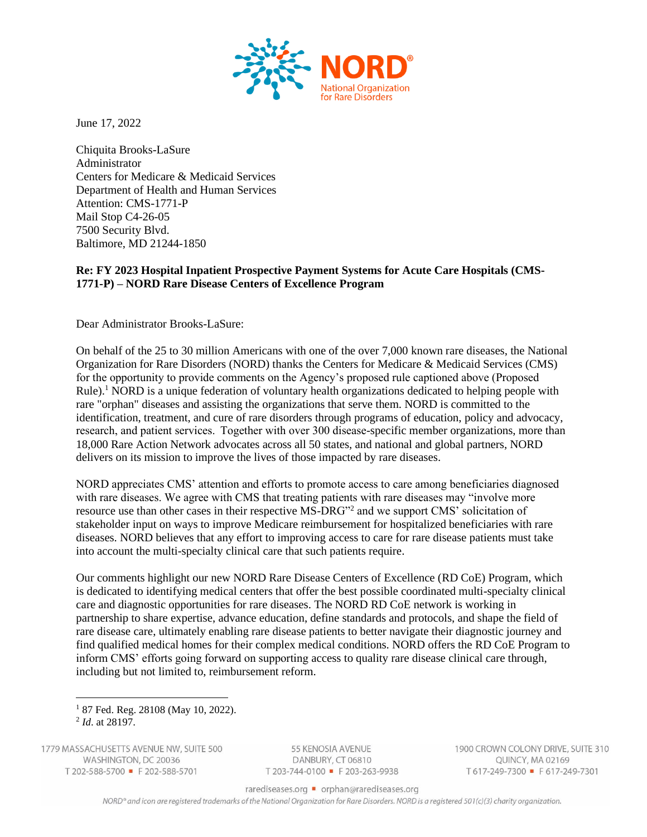

June 17, 2022

Chiquita Brooks-LaSure Administrator Centers for Medicare & Medicaid Services Department of Health and Human Services Attention: CMS-1771-P Mail Stop C4-26-05 7500 Security Blvd. Baltimore, MD 21244-1850

## **Re: FY 2023 Hospital Inpatient Prospective Payment Systems for Acute Care Hospitals (CMS-1771-P) – NORD Rare Disease Centers of Excellence Program**

Dear Administrator Brooks-LaSure:

On behalf of the 25 to 30 million Americans with one of the over 7,000 known rare diseases, the National Organization for Rare Disorders (NORD) thanks the Centers for Medicare & Medicaid Services (CMS) for the opportunity to provide comments on the Agency's proposed rule captioned above (Proposed Rule).<sup>1</sup> NORD is a unique federation of voluntary health organizations dedicated to helping people with rare "orphan" diseases and assisting the organizations that serve them. NORD is committed to the identification, treatment, and cure of rare disorders through programs of education, policy and advocacy, research, and patient services.  Together with over 300 disease-specific member organizations, more than 18,000 Rare Action Network advocates across all 50 states, and national and global partners, NORD delivers on its mission to improve the lives of those impacted by rare diseases.

NORD appreciates CMS' attention and efforts to promote access to care among beneficiaries diagnosed with rare diseases. We agree with CMS that treating patients with rare diseases may "involve more resource use than other cases in their respective MS-DRG"<sup>2</sup> and we support CMS' solicitation of stakeholder input on ways to improve Medicare reimbursement for hospitalized beneficiaries with rare diseases. NORD believes that any effort to improving access to care for rare disease patients must take into account the multi-specialty clinical care that such patients require.

Our comments highlight our new NORD Rare Disease Centers of Excellence (RD CoE) Program, which is dedicated to identifying medical centers that offer the best possible coordinated multi-specialty clinical care and diagnostic opportunities for rare diseases. The NORD RD CoE network is working in partnership to share expertise, advance education, define standards and protocols, and shape the field of rare disease care, ultimately enabling rare disease patients to better navigate their diagnostic journey and find qualified medical homes for their complex medical conditions. NORD offers the RD CoE Program to inform CMS' efforts going forward on supporting access to quality rare disease clinical care through, including but not limited to, reimbursement reform.

1779 MASSACHUSETTS AVENUE NW, SUITE 500 WASHINGTON, DC 20036 T 202-588-5700 = F 202-588-5701

55 KENOSIA AVENUE DANBURY, CT 06810 T 203-744-0100 F 203-263-9938 1900 CROWN COLONY DRIVE, SUITE 310 QUINCY, MA 02169 T617-249-7300 • F617-249-7301

rarediseases.org • orphan@rarediseases.org

NORD® and icon are registered trademarks of the National Organization for Rare Disorders. NORD is a registered 501(c)(3) charity organization.

<sup>&</sup>lt;sup>1</sup> 87 Fed. Reg. 28108 (May 10, 2022). 2 *Id*. at 28197.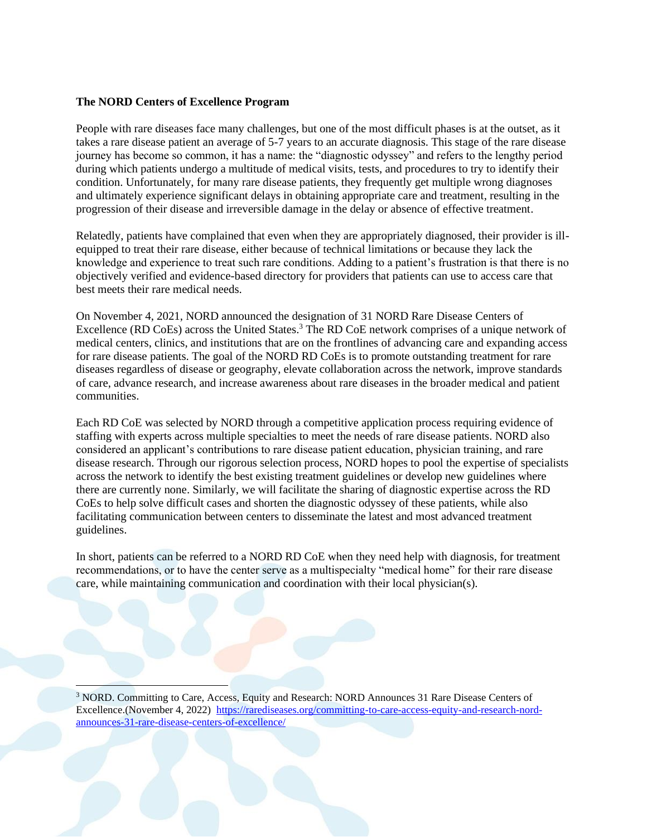## **The NORD Centers of Excellence Program**

People with rare diseases face many challenges, but one of the most difficult phases is at the outset, as it takes a rare disease patient an average of 5-7 years to an accurate diagnosis. This stage of the rare disease journey has become so common, it has a name: the "diagnostic odyssey" and refers to the lengthy period during which patients undergo a multitude of medical visits, tests, and procedures to try to identify their condition. Unfortunately, for many rare disease patients, they frequently get multiple wrong diagnoses and ultimately experience significant delays in obtaining appropriate care and treatment, resulting in the progression of their disease and irreversible damage in the delay or absence of effective treatment.

Relatedly, patients have complained that even when they are appropriately diagnosed, their provider is illequipped to treat their rare disease, either because of technical limitations or because they lack the knowledge and experience to treat such rare conditions. Adding to a patient's frustration is that there is no objectively verified and evidence-based directory for providers that patients can use to access care that best meets their rare medical needs.

On November 4, 2021, NORD announced the designation of 31 NORD Rare Disease Centers of Excellence (RD CoEs) across the United States.<sup>3</sup> The RD CoE network comprises of a unique network of medical centers, clinics, and institutions that are on the frontlines of advancing care and expanding access for rare disease patients. The goal of the NORD RD CoEs is to promote outstanding treatment for rare diseases regardless of disease or geography, elevate collaboration across the network, improve standards of care, advance research, and increase awareness about rare diseases in the broader medical and patient communities.

Each RD CoE was selected by NORD through a competitive application process requiring evidence of staffing with experts across multiple specialties to meet the needs of rare disease patients. NORD also considered an applicant's contributions to rare disease patient education, physician training, and rare disease research. Through our rigorous selection process, NORD hopes to pool the expertise of specialists across the network to identify the best existing treatment guidelines or develop new guidelines where there are currently none. Similarly, we will facilitate the sharing of diagnostic expertise across the RD CoEs to help solve difficult cases and shorten the diagnostic odyssey of these patients, while also facilitating communication between centers to disseminate the latest and most advanced treatment guidelines.

In short, patients can be referred to a NORD RD CoE when they need help with diagnosis, for treatment recommendations, or to have the center serve as a multispecialty "medical home" for their rare disease care, while maintaining communication and coordination with their local physician(s).

<sup>3</sup> NORD. Committing to Care, Access, Equity and Research: NORD Announces 31 Rare Disease Centers of Excellence.(November 4, 2022) [https://rarediseases.org/committing-to-care-access-equity-and-research-nord](https://rarediseases.org/committing-to-care-access-equity-and-research-nord-announces-31-rare-disease-centers-of-excellence/)[announces-31-rare-disease-centers-of-excellence/](https://rarediseases.org/committing-to-care-access-equity-and-research-nord-announces-31-rare-disease-centers-of-excellence/)